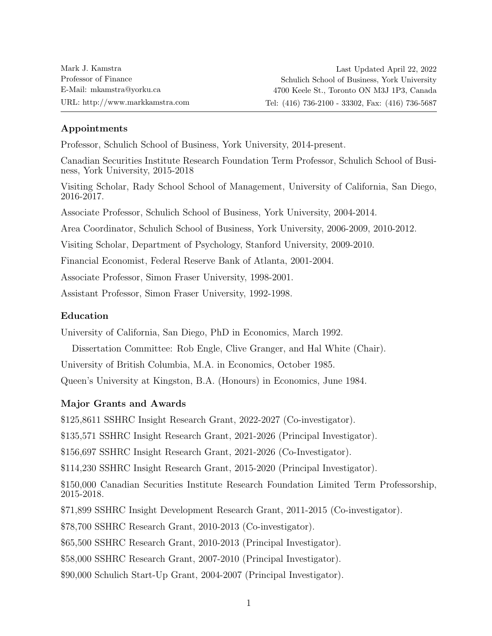# Appointments

Professor, Schulich School of Business, York University, 2014-present.

Canadian Securities Institute Research Foundation Term Professor, Schulich School of Business, York University, 2015-2018

Visiting Scholar, Rady School School of Management, University of California, San Diego, 2016-2017.

Associate Professor, Schulich School of Business, York University, 2004-2014.

Area Coordinator, Schulich School of Business, York University, 2006-2009, 2010-2012.

Visiting Scholar, Department of Psychology, Stanford University, 2009-2010.

Financial Economist, Federal Reserve Bank of Atlanta, 2001-2004.

Associate Professor, Simon Fraser University, 1998-2001.

Assistant Professor, Simon Fraser University, 1992-1998.

# Education

University of California, San Diego, PhD in Economics, March 1992.

Dissertation Committee: Rob Engle, Clive Granger, and Hal White (Chair).

University of British Columbia, M.A. in Economics, October 1985.

Queen's University at Kingston, B.A. (Honours) in Economics, June 1984.

## Major Grants and Awards

\$125,8611 SSHRC Insight Research Grant, 2022-2027 (Co-investigator).

\$135,571 SSHRC Insight Research Grant, 2021-2026 (Principal Investigator).

\$156,697 SSHRC Insight Research Grant, 2021-2026 (Co-Investigator).

\$114,230 SSHRC Insight Research Grant, 2015-2020 (Principal Investigator).

\$150,000 Canadian Securities Institute Research Foundation Limited Term Professorship, 2015-2018.

\$71,899 SSHRC Insight Development Research Grant, 2011-2015 (Co-investigator).

\$78,700 SSHRC Research Grant, 2010-2013 (Co-investigator).

\$65,500 SSHRC Research Grant, 2010-2013 (Principal Investigator).

\$58,000 SSHRC Research Grant, 2007-2010 (Principal Investigator).

\$90,000 Schulich Start-Up Grant, 2004-2007 (Principal Investigator).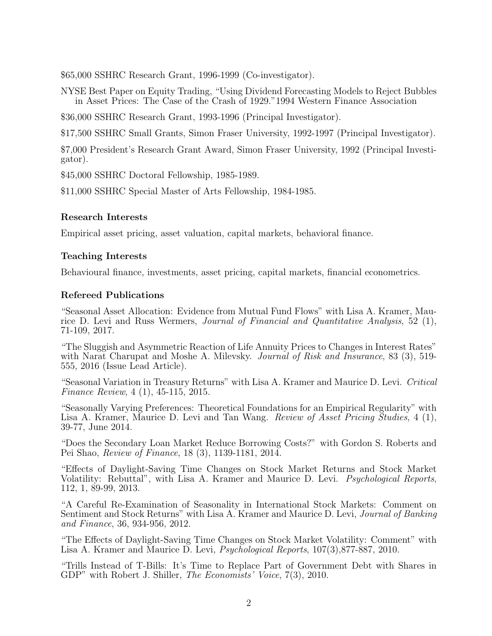\$65,000 SSHRC Research Grant, 1996-1999 (Co-investigator).

NYSE Best Paper on Equity Trading, "Using Dividend Forecasting Models to Reject Bubbles in Asset Prices: The Case of the Crash of 1929."1994 Western Finance Association

\$36,000 SSHRC Research Grant, 1993-1996 (Principal Investigator).

\$17,500 SSHRC Small Grants, Simon Fraser University, 1992-1997 (Principal Investigator).

\$7,000 President's Research Grant Award, Simon Fraser University, 1992 (Principal Investigator).

\$45,000 SSHRC Doctoral Fellowship, 1985-1989.

\$11,000 SSHRC Special Master of Arts Fellowship, 1984-1985.

#### Research Interests

Empirical asset pricing, asset valuation, capital markets, behavioral finance.

#### Teaching Interests

Behavioural finance, investments, asset pricing, capital markets, financial econometrics.

#### Refereed Publications

"Seasonal Asset Allocation: Evidence from Mutual Fund Flows" with Lisa A. Kramer, Maurice D. Levi and Russ Wermers, Journal of Financial and Quantitative Analysis, 52 (1), 71-109, 2017.

"The Sluggish and Asymmetric Reaction of Life Annuity Prices to Changes in Interest Rates" with Narat Charupat and Moshe A. Milevsky. *Journal of Risk and Insurance*, 83 (3), 519-555, 2016 (Issue Lead Article).

"Seasonal Variation in Treasury Returns" with Lisa A. Kramer and Maurice D. Levi. Critical Finance Review, 4 (1), 45-115, 2015.

"Seasonally Varying Preferences: Theoretical Foundations for an Empirical Regularity" with Lisa A. Kramer, Maurice D. Levi and Tan Wang. Review of Asset Pricing Studies, 4 (1), 39-77, June 2014.

"Does the Secondary Loan Market Reduce Borrowing Costs?" with Gordon S. Roberts and Pei Shao, Review of Finance, 18 (3), 1139-1181, 2014.

"Effects of Daylight-Saving Time Changes on Stock Market Returns and Stock Market Volatility: Rebuttal", with Lisa A. Kramer and Maurice D. Levi. Psychological Reports, 112, 1, 89-99, 2013.

"A Careful Re-Examination of Seasonality in International Stock Markets: Comment on Sentiment and Stock Returns" with Lisa A. Kramer and Maurice D. Levi, *Journal of Banking* and Finance, 36, 934-956, 2012.

"The Effects of Daylight-Saving Time Changes on Stock Market Volatility: Comment" with Lisa A. Kramer and Maurice D. Levi, Psychological Reports, 107(3),877-887, 2010.

"Trills Instead of T-Bills: It's Time to Replace Part of Government Debt with Shares in GDP" with Robert J. Shiller, *The Economists' Voice*, 7(3), 2010.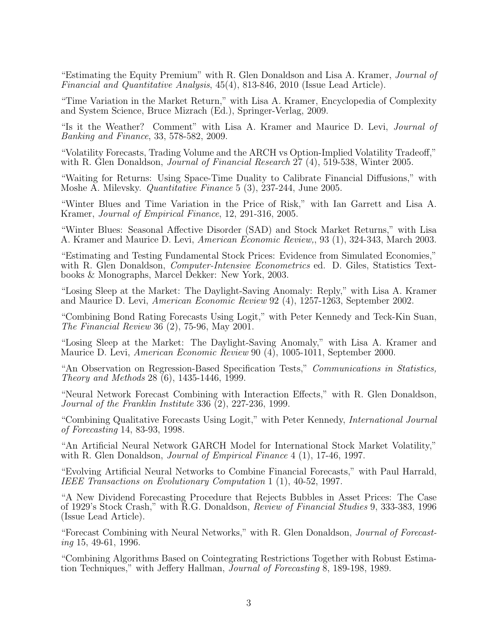"Estimating the Equity Premium" with R. Glen Donaldson and Lisa A. Kramer, Journal of Financial and Quantitative Analysis, 45(4), 813-846, 2010 (Issue Lead Article).

"Time Variation in the Market Return," with Lisa A. Kramer, Encyclopedia of Complexity and System Science, Bruce Mizrach (Ed.), Springer-Verlag, 2009.

"Is it the Weather? Comment" with Lisa A. Kramer and Maurice D. Levi, Journal of Banking and Finance, 33, 578-582, 2009.

"Volatility Forecasts, Trading Volume and the ARCH vs Option-Implied Volatility Tradeoff," with R. Glen Donaldson, *Journal of Financial Research*  $27$  (4), 519-538, Winter 2005.

"Waiting for Returns: Using Space-Time Duality to Calibrate Financial Diffusions," with Moshe A. Milevsky. *Quantitative Finance* 5 (3), 237-244, June 2005.

"Winter Blues and Time Variation in the Price of Risk," with Ian Garrett and Lisa A. Kramer, Journal of Empirical Finance, 12, 291-316, 2005.

"Winter Blues: Seasonal Affective Disorder (SAD) and Stock Market Returns," with Lisa A. Kramer and Maurice D. Levi, American Economic Review,, 93 (1), 324-343, March 2003.

"Estimating and Testing Fundamental Stock Prices: Evidence from Simulated Economies," with R. Glen Donaldson, *Computer-Intensive Econometrics* ed. D. Giles, Statistics Textbooks & Monographs, Marcel Dekker: New York, 2003.

"Losing Sleep at the Market: The Daylight-Saving Anomaly: Reply," with Lisa A. Kramer and Maurice D. Levi, American Economic Review 92 (4), 1257-1263, September 2002.

"Combining Bond Rating Forecasts Using Logit," with Peter Kennedy and Teck-Kin Suan, The Financial Review 36 (2), 75-96, May 2001.

"Losing Sleep at the Market: The Daylight-Saving Anomaly," with Lisa A. Kramer and Maurice D. Levi, American Economic Review 90 (4), 1005-1011, September 2000.

"An Observation on Regression-Based Specification Tests," Communications in Statistics, Theory and Methods 28 (6), 1435-1446, 1999.

"Neural Network Forecast Combining with Interaction Effects," with R. Glen Donaldson, Journal of the Franklin Institute 336 (2), 227-236, 1999.

"Combining Qualitative Forecasts Using Logit," with Peter Kennedy, International Journal of Forecasting 14, 83-93, 1998.

"An Artificial Neural Network GARCH Model for International Stock Market Volatility," with R. Glen Donaldson, *Journal of Empirical Finance* 4 (1), 17-46, 1997.

"Evolving Artificial Neural Networks to Combine Financial Forecasts," with Paul Harrald, IEEE Transactions on Evolutionary Computation 1 (1), 40-52, 1997.

"A New Dividend Forecasting Procedure that Rejects Bubbles in Asset Prices: The Case of 1929's Stock Crash," with R.G. Donaldson, Review of Financial Studies 9, 333-383, 1996 (Issue Lead Article).

"Forecast Combining with Neural Networks," with R. Glen Donaldson, Journal of Forecasting 15, 49-61, 1996.

"Combining Algorithms Based on Cointegrating Restrictions Together with Robust Estimation Techniques," with Jeffery Hallman, Journal of Forecasting 8, 189-198, 1989.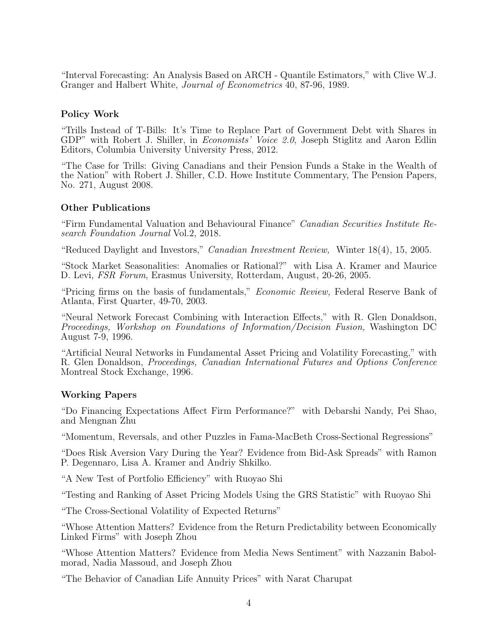"Interval Forecasting: An Analysis Based on ARCH - Quantile Estimators," with Clive W.J. Granger and Halbert White, Journal of Econometrics 40, 87-96, 1989.

### Policy Work

"Trills Instead of T-Bills: It's Time to Replace Part of Government Debt with Shares in GDP" with Robert J. Shiller, in Economists' Voice 2.0, Joseph Stiglitz and Aaron Edlin Editors, Columbia University University Press, 2012.

"The Case for Trills: Giving Canadians and their Pension Funds a Stake in the Wealth of the Nation" with Robert J. Shiller, C.D. Howe Institute Commentary, The Pension Papers, No. 271, August 2008.

### Other Publications

"Firm Fundamental Valuation and Behavioural Finance" Canadian Securities Institute Research Foundation Journal Vol.2, 2018.

"Reduced Daylight and Investors," Canadian Investment Review, Winter 18(4), 15, 2005.

"Stock Market Seasonalities: Anomalies or Rational?" with Lisa A. Kramer and Maurice D. Levi, FSR Forum, Erasmus University, Rotterdam, August, 20-26, 2005.

"Pricing firms on the basis of fundamentals," Economic Review, Federal Reserve Bank of Atlanta, First Quarter, 49-70, 2003.

"Neural Network Forecast Combining with Interaction Effects," with R. Glen Donaldson, Proceedings, Workshop on Foundations of Information/Decision Fusion, Washington DC August 7-9, 1996.

"Artificial Neural Networks in Fundamental Asset Pricing and Volatility Forecasting," with R. Glen Donaldson, Proceedings, Canadian International Futures and Options Conference Montreal Stock Exchange, 1996.

#### Working Papers

"Do Financing Expectations Affect Firm Performance?" with Debarshi Nandy, Pei Shao, and Mengnan Zhu

"Momentum, Reversals, and other Puzzles in Fama-MacBeth Cross-Sectional Regressions"

"Does Risk Aversion Vary During the Year? Evidence from Bid-Ask Spreads" with Ramon P. Degennaro, Lisa A. Kramer and Andriy Shkilko.

"A New Test of Portfolio Efficiency" with Ruoyao Shi

"Testing and Ranking of Asset Pricing Models Using the GRS Statistic" with Ruoyao Shi

"The Cross-Sectional Volatility of Expected Returns"

"Whose Attention Matters? Evidence from the Return Predictability between Economically Linked Firms" with Joseph Zhou

"Whose Attention Matters? Evidence from Media News Sentiment" with Nazzanin Babolmorad, Nadia Massoud, and Joseph Zhou

"The Behavior of Canadian Life Annuity Prices" with Narat Charupat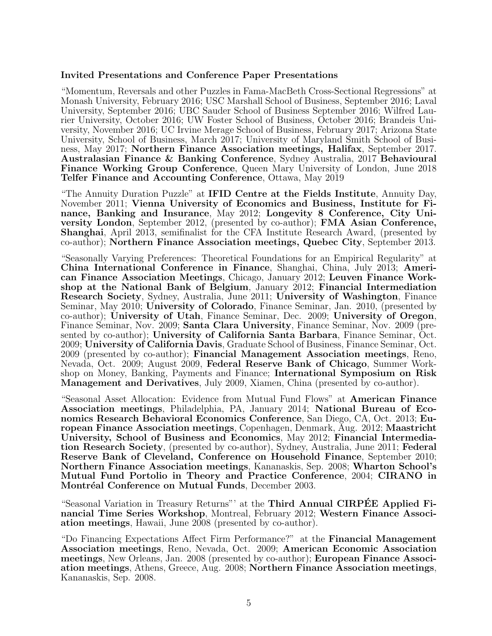#### Invited Presentations and Conference Paper Presentations

"Momentum, Reversals and other Puzzles in Fama-MacBeth Cross-Sectional Regressions" at Monash University, February 2016; USC Marshall School of Business, September 2016; Laval University, September 2016; UBC Sauder School of Business September 2016; Wilfred Laurier University, October 2016; UW Foster School of Business, October 2016; Brandeis University, November 2016; UC Irvine Merage School of Business, February 2017; Arizona State University, School of Business, March 2017; University of Maryland Smith School of Business, May 2017; Northern Finance Association meetings, Halifax, September 2017. Australasian Finance & Banking Conference, Sydney Australia, 2017 Behavioural Finance Working Group Conference, Queen Mary University of London, June 2018 Telfer Finance and Accounting Conference, Ottawa, May 2019

"The Annuity Duration Puzzle" at IFID Centre at the Fields Institute, Annuity Day, November 2011; Vienna University of Economics and Business, Institute for Finance, Banking and Insurance, May 2012; Longevity 8 Conference, City University London, September 2012, (presented by co-author); FMA Asian Conference, Shanghai, April 2013, semifinalist for the CFA Institute Research Award, (presented by co-author); Northern Finance Association meetings, Quebec City, September 2013.

"Seasonally Varying Preferences: Theoretical Foundations for an Empirical Regularity" at China International Conference in Finance, Shanghai, China, July 2013; American Finance Association Meetings, Chicago, January 2012; Leuven Finance Workshop at the National Bank of Belgium, January 2012; Financial Intermediation Research Society, Sydney, Australia, June 2011; University of Washington, Finance Seminar, May 2010; University of Colorado, Finance Seminar, Jan. 2010, (presented by co-author); University of Utah, Finance Seminar, Dec. 2009; University of Oregon, Finance Seminar, Nov. 2009; Santa Clara University, Finance Seminar, Nov. 2009 (presented by co-author); University of California Santa Barbara, Finance Seminar, Oct. 2009; University of California Davis, Graduate School of Business, Finance Seminar, Oct. 2009 (presented by co-author); Financial Management Association meetings, Reno, Nevada, Oct. 2009; August 2009, Federal Reserve Bank of Chicago, Summer Workshop on Money, Banking, Payments and Finance; International Symposium on Risk Management and Derivatives, July 2009, Xiamen, China (presented by co-author).

"Seasonal Asset Allocation: Evidence from Mutual Fund Flows" at American Finance Association meetings, Philadelphia, PA, January 2014; National Bureau of Economics Research Behavioral Economics Conference, San Diego, CA, Oct. 2013; European Finance Association meetings, Copenhagen, Denmark, Aug. 2012; Maastricht University, School of Business and Economics, May 2012; Financial Intermediation Research Society, (presented by co-author), Sydney, Australia, June 2011; Federal Reserve Bank of Cleveland, Conference on Household Finance, September 2010; Northern Finance Association meetings, Kananaskis, Sep. 2008; Wharton School's Mutual Fund Portolio in Theory and Practice Conference, 2004; CIRANO in Montréal Conference on Mutual Funds, December 2003.

"Seasonal Variation in Treasury Returns" at the Third Annual CIRPEE Applied Financial Time Series Workshop, Montreal, February 2012; Western Finance Association meetings, Hawaii, June 2008 (presented by co-author).

"Do Financing Expectations Affect Firm Performance?" at the Financial Management Association meetings, Reno, Nevada, Oct. 2009; American Economic Association meetings, New Orleans, Jan. 2008 (presented by co-author); European Finance Association meetings, Athens, Greece, Aug. 2008; Northern Finance Association meetings, Kananaskis, Sep. 2008.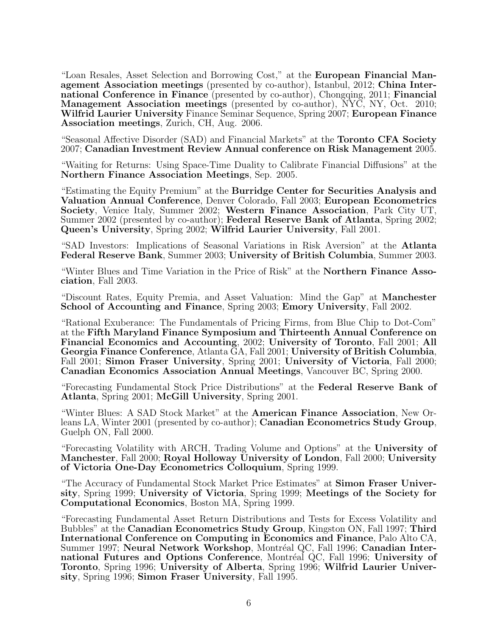"Loan Resales, Asset Selection and Borrowing Cost," at the European Financial Management Association meetings (presented by co-author), Istanbul, 2012; China International Conference in Finance (presented by co-author), Chongqing, 2011; Financial Management Association meetings (presented by co-author), NYC, NY, Oct. 2010; Wilfrid Laurier University Finance Seminar Sequence, Spring 2007; European Finance Association meetings, Zurich, CH, Aug. 2006.

"Seasonal Affective Disorder (SAD) and Financial Markets" at the Toronto CFA Society 2007; Canadian Investment Review Annual conference on Risk Management 2005.

"Waiting for Returns: Using Space-Time Duality to Calibrate Financial Diffusions" at the Northern Finance Association Meetings, Sep. 2005.

"Estimating the Equity Premium" at the Burridge Center for Securities Analysis and Valuation Annual Conference, Denver Colorado, Fall 2003; European Econometrics Society, Venice Italy, Summer 2002; Western Finance Association, Park City UT, Summer 2002 (presented by co-author); Federal Reserve Bank of Atlanta, Spring 2002; Queen's University, Spring 2002; Wilfrid Laurier University, Fall 2001.

"SAD Investors: Implications of Seasonal Variations in Risk Aversion" at the Atlanta Federal Reserve Bank, Summer 2003; University of British Columbia, Summer 2003.

"Winter Blues and Time Variation in the Price of Risk" at the Northern Finance Association, Fall 2003.

"Discount Rates, Equity Premia, and Asset Valuation: Mind the Gap" at Manchester School of Accounting and Finance, Spring 2003; Emory University, Fall 2002.

"Rational Exuberance: The Fundamentals of Pricing Firms, from Blue Chip to Dot-Com" at the Fifth Maryland Finance Symposium and Thirteenth Annual Conference on Financial Economics and Accounting, 2002; University of Toronto, Fall 2001; All Georgia Finance Conference, Atlanta GA, Fall 2001; University of British Columbia, Fall 2001; Simon Fraser University, Spring 2001; University of Victoria, Fall 2000; Canadian Economics Association Annual Meetings, Vancouver BC, Spring 2000.

"Forecasting Fundamental Stock Price Distributions" at the Federal Reserve Bank of Atlanta, Spring 2001; McGill University, Spring 2001.

"Winter Blues: A SAD Stock Market" at the American Finance Association, New Orleans LA, Winter 2001 (presented by co-author); Canadian Econometrics Study Group, Guelph ON, Fall 2000.

"Forecasting Volatility with ARCH, Trading Volume and Options" at the University of Manchester, Fall 2000; Royal Holloway University of London, Fall 2000; University of Victoria One-Day Econometrics Colloquium, Spring 1999.

"The Accuracy of Fundamental Stock Market Price Estimates" at Simon Fraser University, Spring 1999; University of Victoria, Spring 1999; Meetings of the Society for Computational Economics, Boston MA, Spring 1999.

"Forecasting Fundamental Asset Return Distributions and Tests for Excess Volatility and Bubbles" at the Canadian Econometrics Study Group, Kingston ON, Fall 1997; Third International Conference on Computing in Economics and Finance, Palo Alto CA, Summer 1997; Neural Network Workshop, Montréal QC, Fall 1996; Canadian International Futures and Options Conference, Montréal QC, Fall 1996; University of Toronto, Spring 1996; University of Alberta, Spring 1996; Wilfrid Laurier University, Spring 1996; Simon Fraser University, Fall 1995.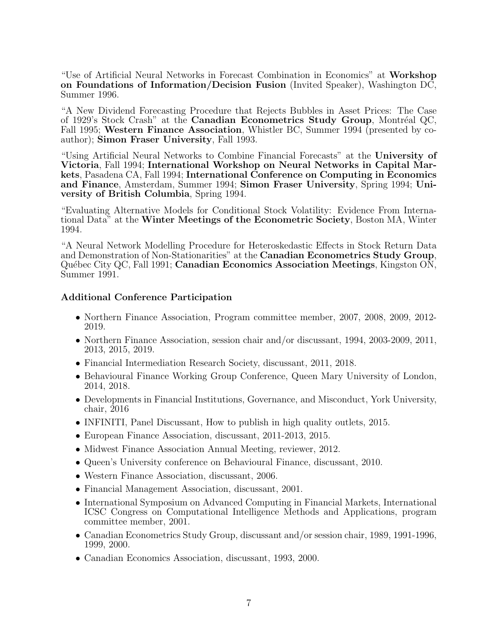"Use of Artificial Neural Networks in Forecast Combination in Economics" at Workshop on Foundations of Information/Decision Fusion (Invited Speaker), Washington DC, Summer 1996.

"A New Dividend Forecasting Procedure that Rejects Bubbles in Asset Prices: The Case of 1929's Stock Crash" at the Canadian Econometrics Study Group, Montréal QC, Fall 1995; Western Finance Association, Whistler BC, Summer 1994 (presented by coauthor); Simon Fraser University, Fall 1993.

"Using Artificial Neural Networks to Combine Financial Forecasts" at the University of Victoria, Fall 1994; International Workshop on Neural Networks in Capital Markets, Pasadena CA, Fall 1994; International Conference on Computing in Economics and Finance, Amsterdam, Summer 1994; Simon Fraser University, Spring 1994; University of British Columbia, Spring 1994.

"Evaluating Alternative Models for Conditional Stock Volatility: Evidence From International Data" at the Winter Meetings of the Econometric Society, Boston MA, Winter 1994.

"A Neural Network Modelling Procedure for Heteroskedastic Effects in Stock Return Data and Demonstration of Non-Stationarities" at the Canadian Econometrics Study Group, Québec City QC, Fall 1991; Canadian Economics Association Meetings, Kingston ON, Summer 1991.

#### Additional Conference Participation

- Northern Finance Association, Program committee member, 2007, 2008, 2009, 2012- 2019.
- Northern Finance Association, session chair and/or discussant, 1994, 2003-2009, 2011, 2013, 2015, 2019.
- Financial Intermediation Research Society, discussant, 2011, 2018.
- Behavioural Finance Working Group Conference, Queen Mary University of London, 2014, 2018.
- Developments in Financial Institutions, Governance, and Misconduct, York University, chair, 2016
- INFINITI, Panel Discussant, How to publish in high quality outlets, 2015.
- European Finance Association, discussant, 2011-2013, 2015.
- Midwest Finance Association Annual Meeting, reviewer, 2012.
- Queen's University conference on Behavioural Finance, discussant, 2010.
- Western Finance Association, discussant, 2006.
- Financial Management Association, discussant, 2001.
- International Symposium on Advanced Computing in Financial Markets, International ICSC Congress on Computational Intelligence Methods and Applications, program committee member, 2001.
- Canadian Econometrics Study Group, discussant and/or session chair, 1989, 1991-1996, 1999, 2000.
- Canadian Economics Association, discussant, 1993, 2000.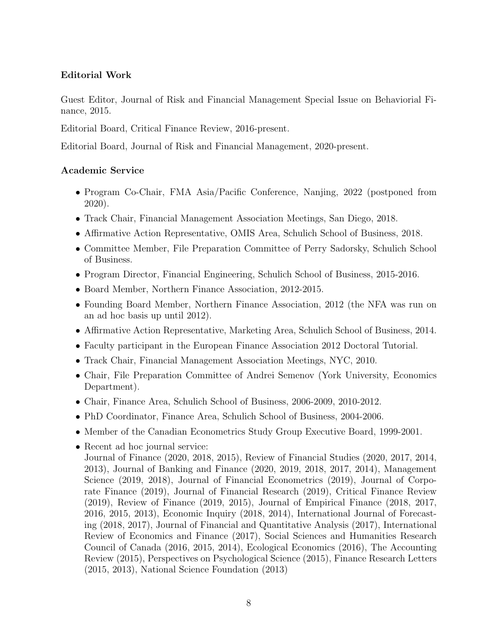# Editorial Work

Guest Editor, Journal of Risk and Financial Management Special Issue on Behaviorial Finance, 2015.

Editorial Board, Critical Finance Review, 2016-present.

Editorial Board, Journal of Risk and Financial Management, 2020-present.

# Academic Service

- Program Co-Chair, FMA Asia/Pacific Conference, Nanjing, 2022 (postponed from 2020).
- Track Chair, Financial Management Association Meetings, San Diego, 2018.
- Affirmative Action Representative, OMIS Area, Schulich School of Business, 2018.
- Committee Member, File Preparation Committee of Perry Sadorsky, Schulich School of Business.
- Program Director, Financial Engineering, Schulich School of Business, 2015-2016.
- Board Member, Northern Finance Association, 2012-2015.
- Founding Board Member, Northern Finance Association, 2012 (the NFA was run on an ad hoc basis up until 2012).
- Affirmative Action Representative, Marketing Area, Schulich School of Business, 2014.
- Faculty participant in the European Finance Association 2012 Doctoral Tutorial.
- Track Chair, Financial Management Association Meetings, NYC, 2010.
- Chair, File Preparation Committee of Andrei Semenov (York University, Economics Department).
- Chair, Finance Area, Schulich School of Business, 2006-2009, 2010-2012.
- PhD Coordinator, Finance Area, Schulich School of Business, 2004-2006.
- Member of the Canadian Econometrics Study Group Executive Board, 1999-2001.
- Recent ad hoc journal service: Journal of Finance (2020, 2018, 2015), Review of Financial Studies (2020, 2017, 2014, 2013), Journal of Banking and Finance (2020, 2019, 2018, 2017, 2014), Management Science (2019, 2018), Journal of Financial Econometrics (2019), Journal of Corporate Finance (2019), Journal of Financial Research (2019), Critical Finance Review (2019), Review of Finance (2019, 2015), Journal of Empirical Finance (2018, 2017, 2016, 2015, 2013), Economic Inquiry (2018, 2014), International Journal of Forecasting (2018, 2017), Journal of Financial and Quantitative Analysis (2017), International Review of Economics and Finance (2017), Social Sciences and Humanities Research Council of Canada (2016, 2015, 2014), Ecological Economics (2016), The Accounting Review (2015), Perspectives on Psychological Science (2015), Finance Research Letters (2015, 2013), National Science Foundation (2013)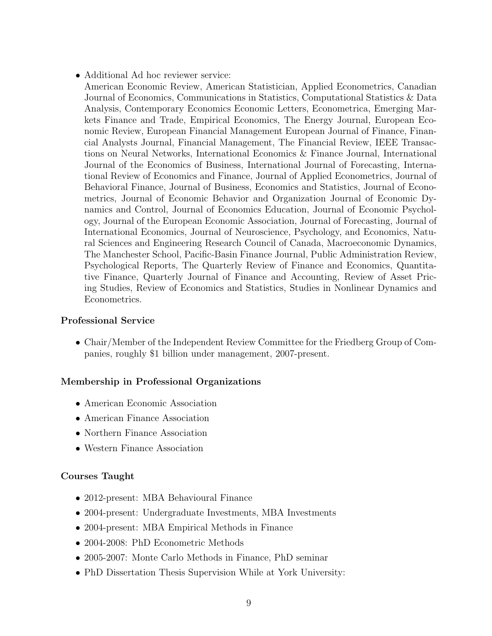• Additional Ad hoc reviewer service:

American Economic Review, American Statistician, Applied Econometrics, Canadian Journal of Economics, Communications in Statistics, Computational Statistics & Data Analysis, Contemporary Economics Economic Letters, Econometrica, Emerging Markets Finance and Trade, Empirical Economics, The Energy Journal, European Economic Review, European Financial Management European Journal of Finance, Financial Analysts Journal, Financial Management, The Financial Review, IEEE Transactions on Neural Networks, International Economics & Finance Journal, International Journal of the Economics of Business, International Journal of Forecasting, International Review of Economics and Finance, Journal of Applied Econometrics, Journal of Behavioral Finance, Journal of Business, Economics and Statistics, Journal of Econometrics, Journal of Economic Behavior and Organization Journal of Economic Dynamics and Control, Journal of Economics Education, Journal of Economic Psychology, Journal of the European Economic Association, Journal of Forecasting, Journal of International Economics, Journal of Neuroscience, Psychology, and Economics, Natural Sciences and Engineering Research Council of Canada, Macroeconomic Dynamics, The Manchester School, Pacific-Basin Finance Journal, Public Administration Review, Psychological Reports, The Quarterly Review of Finance and Economics, Quantitative Finance, Quarterly Journal of Finance and Accounting, Review of Asset Pricing Studies, Review of Economics and Statistics, Studies in Nonlinear Dynamics and Econometrics.

# Professional Service

• Chair/Member of the Independent Review Committee for the Friedberg Group of Companies, roughly \$1 billion under management, 2007-present.

# Membership in Professional Organizations

- American Economic Association
- American Finance Association
- Northern Finance Association
- Western Finance Association

# Courses Taught

- 2012-present: MBA Behavioural Finance
- 2004-present: Undergraduate Investments, MBA Investments
- 2004-present: MBA Empirical Methods in Finance
- 2004-2008: PhD Econometric Methods
- 2005-2007: Monte Carlo Methods in Finance, PhD seminar
- PhD Dissertation Thesis Supervision While at York University: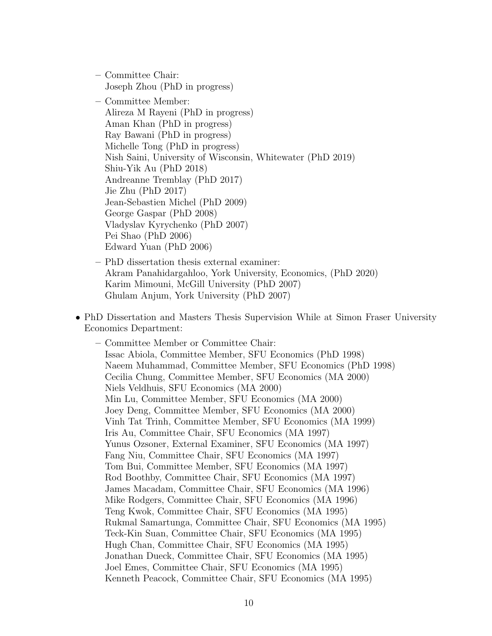- Committee Chair: Joseph Zhou (PhD in progress)
- Committee Member: Alireza M Rayeni (PhD in progress) Aman Khan (PhD in progress) Ray Bawani (PhD in progress) Michelle Tong (PhD in progress) Nish Saini, University of Wisconsin, Whitewater (PhD 2019) Shiu-Yik Au (PhD 2018) Andreanne Tremblay (PhD 2017) Jie Zhu (PhD 2017) Jean-Sebastien Michel (PhD 2009) George Gaspar (PhD 2008) Vladyslav Kyrychenko (PhD 2007) Pei Shao (PhD 2006) Edward Yuan (PhD 2006)
- PhD dissertation thesis external examiner: Akram Panahidargahloo, York University, Economics, (PhD 2020) Karim Mimouni, McGill University (PhD 2007) Ghulam Anjum, York University (PhD 2007)
- PhD Dissertation and Masters Thesis Supervision While at Simon Fraser University Economics Department:
	- Committee Member or Committee Chair: Issac Abiola, Committee Member, SFU Economics (PhD 1998) Naeem Muhammad, Committee Member, SFU Economics (PhD 1998) Cecilia Chung, Committee Member, SFU Economics (MA 2000) Niels Veldhuis, SFU Economics (MA 2000) Min Lu, Committee Member, SFU Economics (MA 2000) Joey Deng, Committee Member, SFU Economics (MA 2000) Vinh Tat Trinh, Committee Member, SFU Economics (MA 1999) Iris Au, Committee Chair, SFU Economics (MA 1997) Yunus Ozsoner, External Examiner, SFU Economics (MA 1997) Fang Niu, Committee Chair, SFU Economics (MA 1997) Tom Bui, Committee Member, SFU Economics (MA 1997) Rod Boothby, Committee Chair, SFU Economics (MA 1997) James Macadam, Committee Chair, SFU Economics (MA 1996) Mike Rodgers, Committee Chair, SFU Economics (MA 1996) Teng Kwok, Committee Chair, SFU Economics (MA 1995) Rukmal Samartunga, Committee Chair, SFU Economics (MA 1995) Teck-Kin Suan, Committee Chair, SFU Economics (MA 1995) Hugh Chan, Committee Chair, SFU Economics (MA 1995) Jonathan Dueck, Committee Chair, SFU Economics (MA 1995) Joel Emes, Committee Chair, SFU Economics (MA 1995) Kenneth Peacock, Committee Chair, SFU Economics (MA 1995)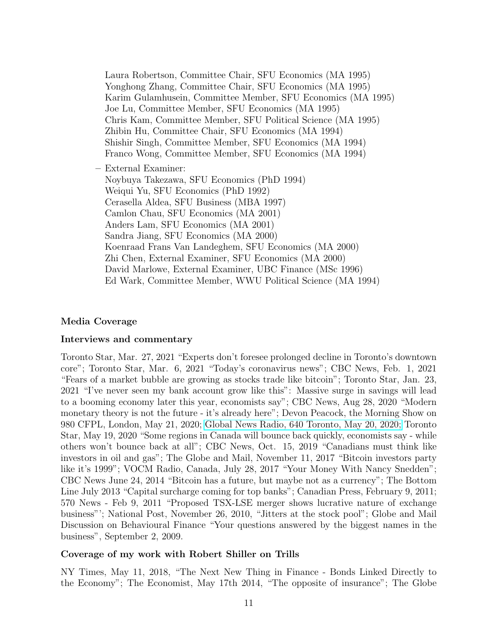Laura Robertson, Committee Chair, SFU Economics (MA 1995) Yonghong Zhang, Committee Chair, SFU Economics (MA 1995) Karim Gulamhusein, Committee Member, SFU Economics (MA 1995) Joe Lu, Committee Member, SFU Economics (MA 1995) Chris Kam, Committee Member, SFU Political Science (MA 1995) Zhibin Hu, Committee Chair, SFU Economics (MA 1994) Shishir Singh, Committee Member, SFU Economics (MA 1994) Franco Wong, Committee Member, SFU Economics (MA 1994) – External Examiner: Noybuya Takezawa, SFU Economics (PhD 1994) Weiqui Yu, SFU Economics (PhD 1992) Cerasella Aldea, SFU Business (MBA 1997) Camlon Chau, SFU Economics (MA 2001) Anders Lam, SFU Economics (MA 2001) Sandra Jiang, SFU Economics (MA 2000) Koenraad Frans Van Landeghem, SFU Economics (MA 2000)

Zhi Chen, External Examiner, SFU Economics (MA 2000)

David Marlowe, External Examiner, UBC Finance (MSc 1996)

Ed Wark, Committee Member, WWU Political Science (MA 1994)

# Media Coverage

## Interviews and commentary

Toronto Star, Mar. 27, 2021 "Experts don't foresee prolonged decline in Toronto's downtown core"; Toronto Star, Mar. 6, 2021 "Today's coronavirus news"; CBC News, Feb. 1, 2021 "Fears of a market bubble are growing as stocks trade like bitcoin"; Toronto Star, Jan. 23, 2021 "I've never seen my bank account grow like this": Massive surge in savings will lead to a booming economy later this year, economists say"; CBC News, Aug 28, 2020 "Modern monetary theory is not the future - it's already here"; Devon Peacock, the Morning Show on 980 CFPL, London, May 21, 2020; [Global News Radio, 640 Toronto, May 20, 2020;](https://omny.fm/shows/am640-the-morning-show/what-industries-are-likely-to-bounce-back-from-cov) Toronto Star, May 19, 2020 "Some regions in Canada will bounce back quickly, economists say - while others won't bounce back at all"; CBC News, Oct. 15, 2019 "Canadians must think like investors in oil and gas"; The Globe and Mail, November 11, 2017 "Bitcoin investors party like it's 1999"; VOCM Radio, Canada, July 28, 2017 "Your Money With Nancy Snedden"; CBC News June 24, 2014 "Bitcoin has a future, but maybe not as a currency"; The Bottom Line July 2013 "Capital surcharge coming for top banks"; Canadian Press, February 9, 2011; 570 News - Feb 9, 2011 "Proposed TSX-LSE merger shows lucrative nature of exchange business"'; National Post, November 26, 2010, "Jitters at the stock pool"; Globe and Mail Discussion on Behavioural Finance "Your questions answered by the biggest names in the business", September 2, 2009.

## Coverage of my work with Robert Shiller on Trills

NY Times, May 11, 2018, "The Next New Thing in Finance - Bonds Linked Directly to the Economy"; The Economist, May 17th 2014, "The opposite of insurance"; The Globe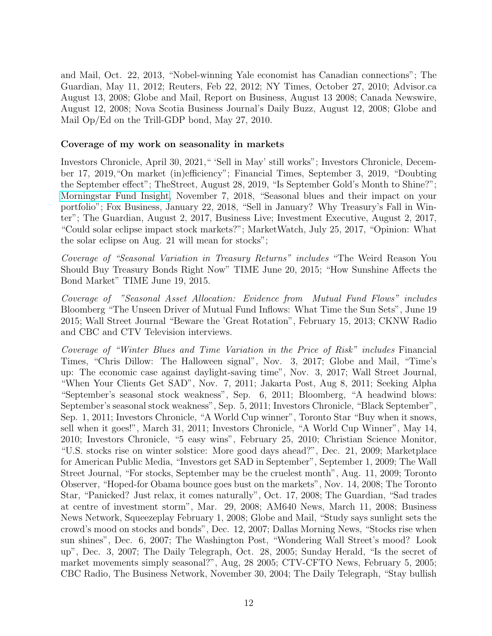and Mail, Oct. 22, 2013, "Nobel-winning Yale economist has Canadian connections"; The Guardian, May 11, 2012; Reuters, Feb 22, 2012; NY Times, October 27, 2010; Advisor.ca August 13, 2008; Globe and Mail, Report on Business, August 13 2008; Canada Newswire, August 12, 2008; Nova Scotia Business Journal's Daily Buzz, August 12, 2008; Globe and Mail Op/Ed on the Trill-GDP bond, May 27, 2010.

### Coverage of my work on seasonality in markets

Investors Chronicle, April 30, 2021," 'Sell in May' still works"; Investors Chronicle, December 17, 2019,"On market (in)efficiency"; Financial Times, September 3, 2019, "Doubting the September effect"; TheStreet, August 28, 2019, "Is September Gold's Month to Shine?"; [Morningstar Fund Insight,](https://www.morningstar.ca/ca/news/187546/seasonal-blues-and-their-impact-on-your-portfolio.aspx) November 7, 2018, "Seasonal blues and their impact on your portfolio"; Fox Business, January 22, 2018, "Sell in January? Why Treasury's Fall in Winter"; The Guardian, August 2, 2017, Business Live; Investment Executive, August 2, 2017, "Could solar eclipse impact stock markets?"; MarketWatch, July 25, 2017, "Opinion: What the solar eclipse on Aug. 21 will mean for stocks";

Coverage of "Seasonal Variation in Treasury Returns" includes "The Weird Reason You Should Buy Treasury Bonds Right Now" TIME June 20, 2015; "How Sunshine Affects the Bond Market" TIME June 19, 2015.

Coverage of "Seasonal Asset Allocation: Evidence from Mutual Fund Flows" includes Bloomberg "The Unseen Driver of Mutual Fund Inflows: What Time the Sun Sets", June 19 2015; Wall Street Journal "Beware the 'Great Rotation", February 15, 2013; CKNW Radio and CBC and CTV Television interviews.

Coverage of "Winter Blues and Time Variation in the Price of Risk" includes Financial Times, "Chris Dillow: The Halloween signal", Nov. 3, 2017; Globe and Mail, "Time's up: The economic case against daylight-saving time", Nov. 3, 2017; Wall Street Journal, "When Your Clients Get SAD", Nov. 7, 2011; Jakarta Post, Aug 8, 2011; Seeking Alpha "September's seasonal stock weakness", Sep. 6, 2011; Bloomberg, "A headwind blows: September's seasonal stock weakness", Sep. 5, 2011; Investors Chronicle, "Black September", Sep. 1, 2011; Investors Chronicle, "A World Cup winner", Toronto Star "Buy when it snows, sell when it goes!", March 31, 2011; Investors Chronicle, "A World Cup Winner", May 14, 2010; Investors Chronicle, "5 easy wins", February 25, 2010; Christian Science Monitor, "U.S. stocks rise on winter solstice: More good days ahead?", Dec. 21, 2009; Marketplace for American Public Media, "Investors get SAD in September", September 1, 2009; The Wall Street Journal, "For stocks, September may be the cruelest month", Aug. 11, 2009; Toronto Observer, "Hoped-for Obama bounce goes bust on the markets", Nov. 14, 2008; The Toronto Star, "Panicked? Just relax, it comes naturally", Oct. 17, 2008; The Guardian, "Sad trades at centre of investment storm", Mar. 29, 2008; AM640 News, March 11, 2008; Business News Network, Squeezeplay February 1, 2008; Globe and Mail, "Study says sunlight sets the crowd's mood on stocks and bonds", Dec. 12, 2007; Dallas Morning News, "Stocks rise when sun shines", Dec. 6, 2007; The Washington Post, "Wondering Wall Street's mood? Look up", Dec. 3, 2007; The Daily Telegraph, Oct. 28, 2005; Sunday Herald, "Is the secret of market movements simply seasonal?", Aug, 28 2005; CTV-CFTO News, February 5, 2005; CBC Radio, The Business Network, November 30, 2004; The Daily Telegraph, "Stay bullish